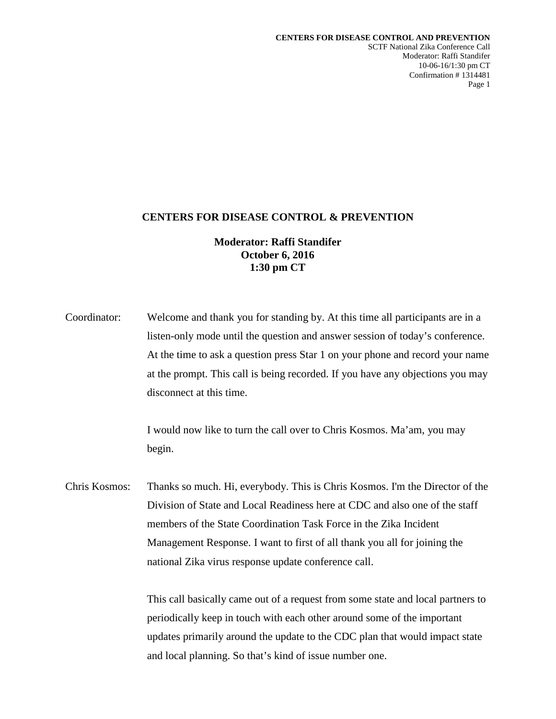SCTF National Zika Conference Call Moderator: Raffi Standifer 10-06-16/1:30 pm CT Confirmation # 1314481 Page 1

## **CENTERS FOR DISEASE CONTROL & PREVENTION**

# **Moderator: Raffi Standifer October 6, 2016 1:30 pm CT**

Coordinator: Welcome and thank you for standing by. At this time all participants are in a listen-only mode until the question and answer session of today's conference. At the time to ask a question press Star 1 on your phone and record your name at the prompt. This call is being recorded. If you have any objections you may disconnect at this time.

> I would now like to turn the call over to Chris Kosmos. Ma'am, you may begin.

Chris Kosmos: Thanks so much. Hi, everybody. This is Chris Kosmos. I'm the Director of the Division of State and Local Readiness here at CDC and also one of the staff members of the State Coordination Task Force in the Zika Incident Management Response. I want to first of all thank you all for joining the national Zika virus response update conference call.

> This call basically came out of a request from some state and local partners to periodically keep in touch with each other around some of the important updates primarily around the update to the CDC plan that would impact state and local planning. So that's kind of issue number one.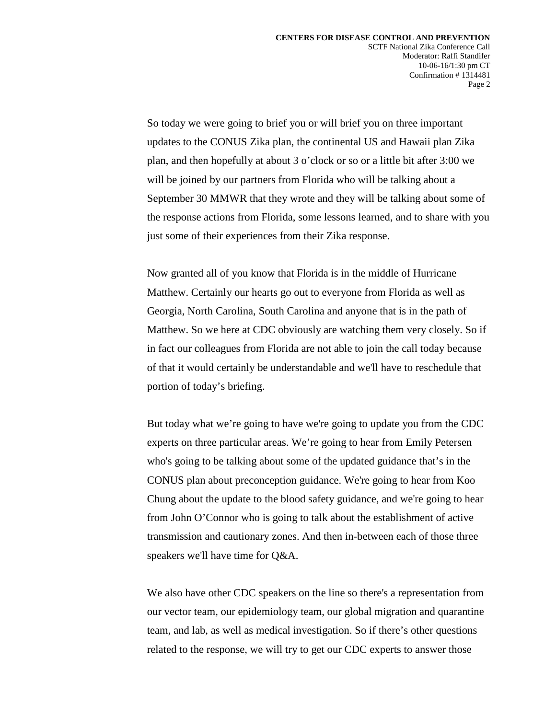So today we were going to brief you or will brief you on three important updates to the CONUS Zika plan, the continental US and Hawaii plan Zika plan, and then hopefully at about 3 o'clock or so or a little bit after 3:00 we will be joined by our partners from Florida who will be talking about a September 30 MMWR that they wrote and they will be talking about some of the response actions from Florida, some lessons learned, and to share with you just some of their experiences from their Zika response.

Now granted all of you know that Florida is in the middle of Hurricane Matthew. Certainly our hearts go out to everyone from Florida as well as Georgia, North Carolina, South Carolina and anyone that is in the path of Matthew. So we here at CDC obviously are watching them very closely. So if in fact our colleagues from Florida are not able to join the call today because of that it would certainly be understandable and we'll have to reschedule that portion of today's briefing.

But today what we're going to have we're going to update you from the CDC experts on three particular areas. We're going to hear from Emily Petersen who's going to be talking about some of the updated guidance that's in the CONUS plan about preconception guidance. We're going to hear from Koo Chung about the update to the blood safety guidance, and we're going to hear from John O'Connor who is going to talk about the establishment of active transmission and cautionary zones. And then in-between each of those three speakers we'll have time for Q&A.

We also have other CDC speakers on the line so there's a representation from our vector team, our epidemiology team, our global migration and quarantine team, and lab, as well as medical investigation. So if there's other questions related to the response, we will try to get our CDC experts to answer those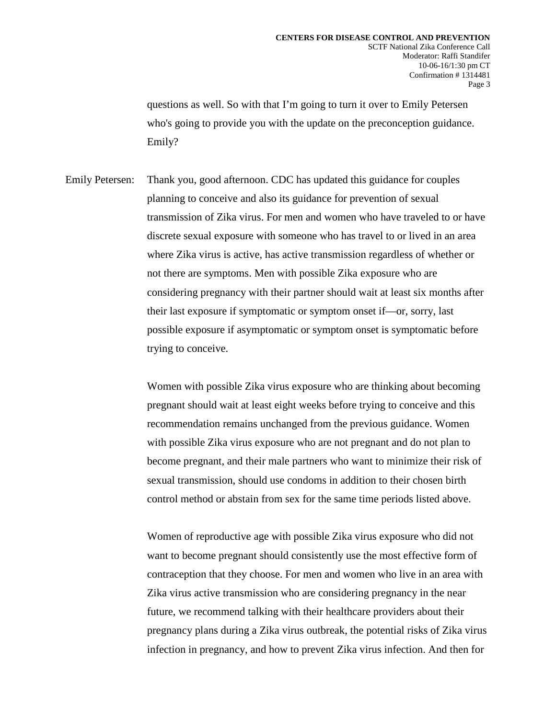questions as well. So with that I'm going to turn it over to Emily Petersen who's going to provide you with the update on the preconception guidance. Emily?

Emily Petersen: Thank you, good afternoon. CDC has updated this guidance for couples planning to conceive and also its guidance for prevention of sexual transmission of Zika virus. For men and women who have traveled to or have discrete sexual exposure with someone who has travel to or lived in an area where Zika virus is active, has active transmission regardless of whether or not there are symptoms. Men with possible Zika exposure who are considering pregnancy with their partner should wait at least six months after their last exposure if symptomatic or symptom onset if—or, sorry, last possible exposure if asymptomatic or symptom onset is symptomatic before trying to conceive.

> Women with possible Zika virus exposure who are thinking about becoming pregnant should wait at least eight weeks before trying to conceive and this recommendation remains unchanged from the previous guidance. Women with possible Zika virus exposure who are not pregnant and do not plan to become pregnant, and their male partners who want to minimize their risk of sexual transmission, should use condoms in addition to their chosen birth control method or abstain from sex for the same time periods listed above.

Women of reproductive age with possible Zika virus exposure who did not want to become pregnant should consistently use the most effective form of contraception that they choose. For men and women who live in an area with Zika virus active transmission who are considering pregnancy in the near future, we recommend talking with their healthcare providers about their pregnancy plans during a Zika virus outbreak, the potential risks of Zika virus infection in pregnancy, and how to prevent Zika virus infection. And then for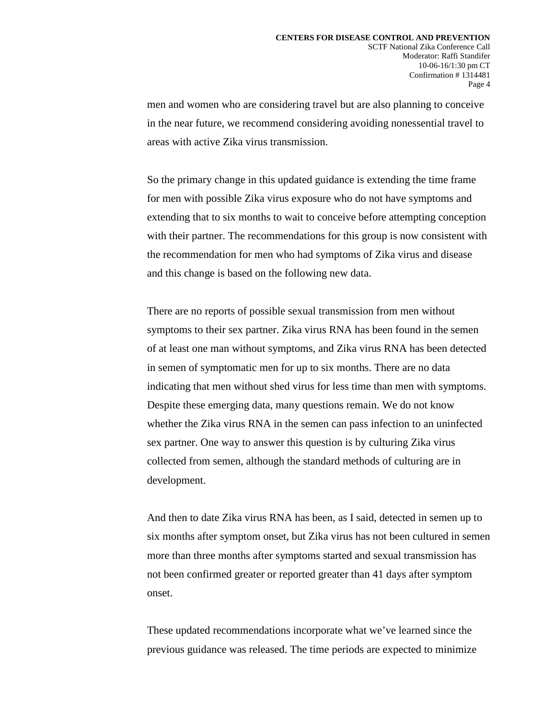men and women who are considering travel but are also planning to conceive in the near future, we recommend considering avoiding nonessential travel to areas with active Zika virus transmission.

So the primary change in this updated guidance is extending the time frame for men with possible Zika virus exposure who do not have symptoms and extending that to six months to wait to conceive before attempting conception with their partner. The recommendations for this group is now consistent with the recommendation for men who had symptoms of Zika virus and disease and this change is based on the following new data.

There are no reports of possible sexual transmission from men without symptoms to their sex partner. Zika virus RNA has been found in the semen of at least one man without symptoms, and Zika virus RNA has been detected in semen of symptomatic men for up to six months. There are no data indicating that men without shed virus for less time than men with symptoms. Despite these emerging data, many questions remain. We do not know whether the Zika virus RNA in the semen can pass infection to an uninfected sex partner. One way to answer this question is by culturing Zika virus collected from semen, although the standard methods of culturing are in development.

And then to date Zika virus RNA has been, as I said, detected in semen up to six months after symptom onset, but Zika virus has not been cultured in semen more than three months after symptoms started and sexual transmission has not been confirmed greater or reported greater than 41 days after symptom onset.

These updated recommendations incorporate what we've learned since the previous guidance was released. The time periods are expected to minimize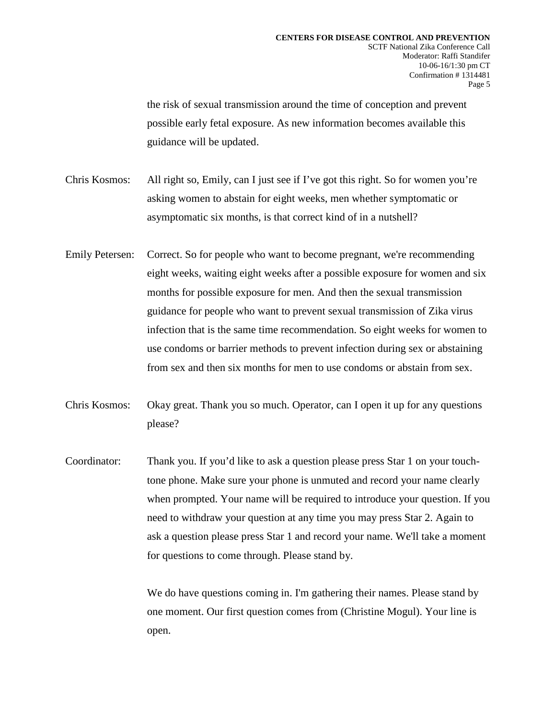the risk of sexual transmission around the time of conception and prevent possible early fetal exposure. As new information becomes available this guidance will be updated.

- Chris Kosmos: All right so, Emily, can I just see if I've got this right. So for women you're asking women to abstain for eight weeks, men whether symptomatic or asymptomatic six months, is that correct kind of in a nutshell?
- Emily Petersen: Correct. So for people who want to become pregnant, we're recommending eight weeks, waiting eight weeks after a possible exposure for women and six months for possible exposure for men. And then the sexual transmission guidance for people who want to prevent sexual transmission of Zika virus infection that is the same time recommendation. So eight weeks for women to use condoms or barrier methods to prevent infection during sex or abstaining from sex and then six months for men to use condoms or abstain from sex.
- Chris Kosmos: Okay great. Thank you so much. Operator, can I open it up for any questions please?
- Coordinator: Thank you. If you'd like to ask a question please press Star 1 on your touchtone phone. Make sure your phone is unmuted and record your name clearly when prompted. Your name will be required to introduce your question. If you need to withdraw your question at any time you may press Star 2. Again to ask a question please press Star 1 and record your name. We'll take a moment for questions to come through. Please stand by.

We do have questions coming in. I'm gathering their names. Please stand by one moment. Our first question comes from (Christine Mogul). Your line is open.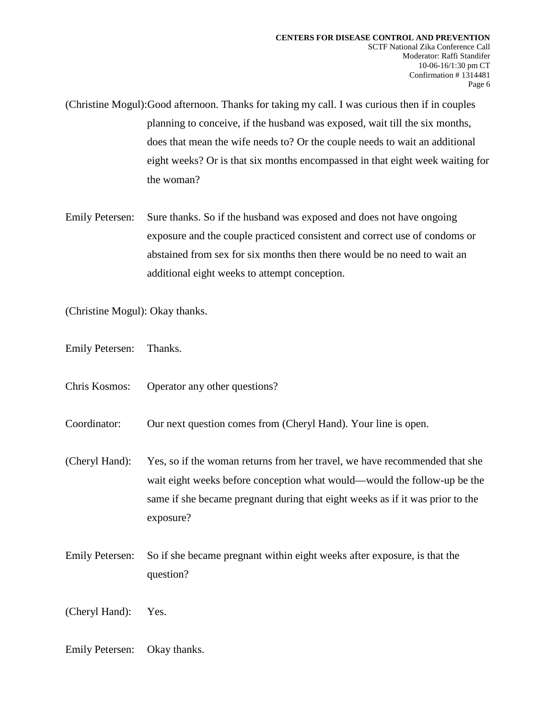(Christine Mogul):Good afternoon. Thanks for taking my call. I was curious then if in couples planning to conceive, if the husband was exposed, wait till the six months, does that mean the wife needs to? Or the couple needs to wait an additional eight weeks? Or is that six months encompassed in that eight week waiting for the woman?

Emily Petersen: Sure thanks. So if the husband was exposed and does not have ongoing exposure and the couple practiced consistent and correct use of condoms or abstained from sex for six months then there would be no need to wait an additional eight weeks to attempt conception.

(Christine Mogul): Okay thanks.

- Emily Petersen: Thanks.
- Chris Kosmos: Operator any other questions?

Coordinator: Our next question comes from (Cheryl Hand). Your line is open.

(Cheryl Hand): Yes, so if the woman returns from her travel, we have recommended that she wait eight weeks before conception what would—would the follow-up be the same if she became pregnant during that eight weeks as if it was prior to the exposure?

Emily Petersen: So if she became pregnant within eight weeks after exposure, is that the question?

(Cheryl Hand): Yes.

Emily Petersen: Okay thanks.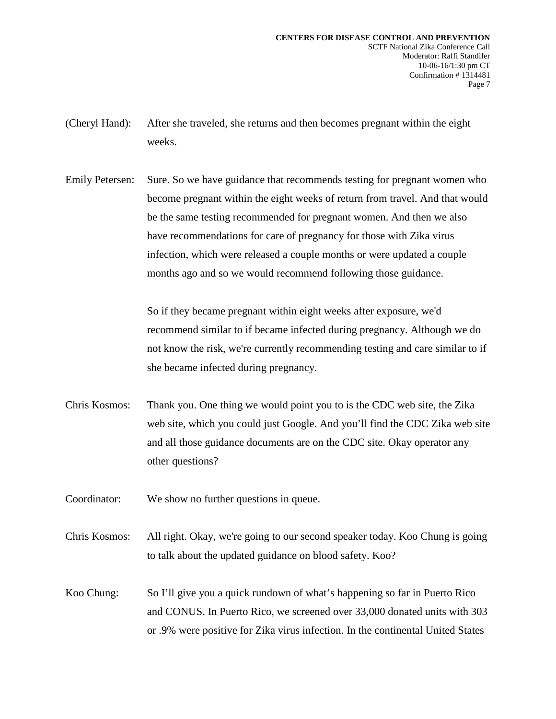- (Cheryl Hand): After she traveled, she returns and then becomes pregnant within the eight weeks.
- Emily Petersen: Sure. So we have guidance that recommends testing for pregnant women who become pregnant within the eight weeks of return from travel. And that would be the same testing recommended for pregnant women. And then we also have recommendations for care of pregnancy for those with Zika virus infection, which were released a couple months or were updated a couple months ago and so we would recommend following those guidance.

So if they became pregnant within eight weeks after exposure, we'd recommend similar to if became infected during pregnancy. Although we do not know the risk, we're currently recommending testing and care similar to if she became infected during pregnancy.

- Chris Kosmos: Thank you. One thing we would point you to is the CDC web site, the Zika web site, which you could just Google. And you'll find the CDC Zika web site and all those guidance documents are on the CDC site. Okay operator any other questions?
- Coordinator: We show no further questions in queue.
- Chris Kosmos: All right. Okay, we're going to our second speaker today. Koo Chung is going to talk about the updated guidance on blood safety. Koo?
- Koo Chung: So I'll give you a quick rundown of what's happening so far in Puerto Rico and CONUS. In Puerto Rico, we screened over 33,000 donated units with 303 or .9% were positive for Zika virus infection. In the continental United States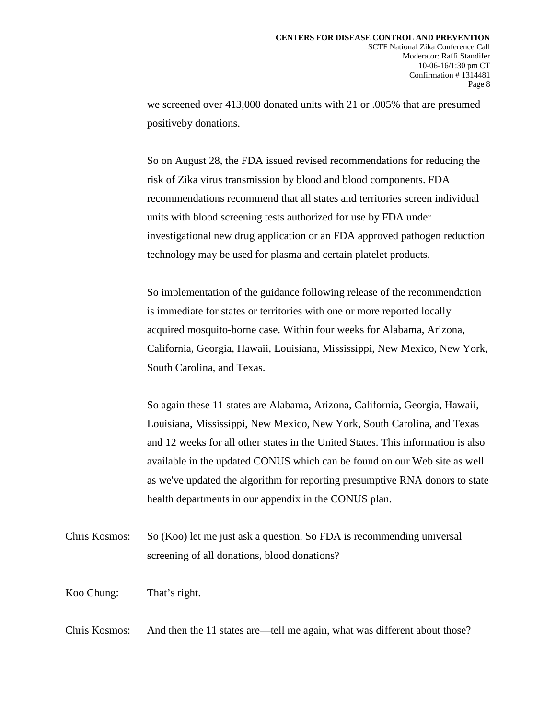we screened over 413,000 donated units with 21 or .005% that are presumed positiveby donations.

So on August 28, the FDA issued revised recommendations for reducing the risk of Zika virus transmission by blood and blood components. FDA recommendations recommend that all states and territories screen individual units with blood screening tests authorized for use by FDA under investigational new drug application or an FDA approved pathogen reduction technology may be used for plasma and certain platelet products.

So implementation of the guidance following release of the recommendation is immediate for states or territories with one or more reported locally acquired mosquito-borne case. Within four weeks for Alabama, Arizona, California, Georgia, Hawaii, Louisiana, Mississippi, New Mexico, New York, South Carolina, and Texas.

So again these 11 states are Alabama, Arizona, California, Georgia, Hawaii, Louisiana, Mississippi, New Mexico, New York, South Carolina, and Texas and 12 weeks for all other states in the United States. This information is also available in the updated CONUS which can be found on our Web site as well as we've updated the algorithm for reporting presumptive RNA donors to state health departments in our appendix in the CONUS plan.

Chris Kosmos: So (Koo) let me just ask a question. So FDA is recommending universal screening of all donations, blood donations?

Koo Chung: That's right.

Chris Kosmos: And then the 11 states are—tell me again, what was different about those?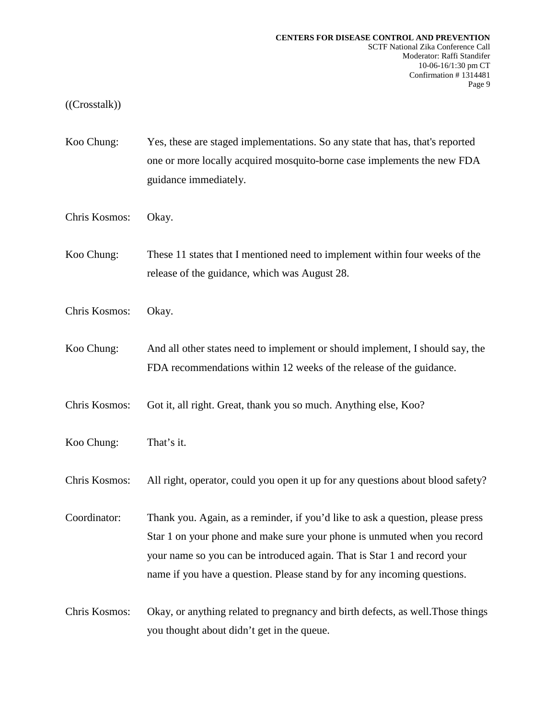## ((Crosstalk))

- Koo Chung: Yes, these are staged implementations. So any state that has, that's reported one or more locally acquired mosquito-borne case implements the new FDA guidance immediately.
- Chris Kosmos: Okay.
- Koo Chung: These 11 states that I mentioned need to implement within four weeks of the release of the guidance, which was August 28.
- Chris Kosmos: Okay.
- Koo Chung: And all other states need to implement or should implement, I should say, the FDA recommendations within 12 weeks of the release of the guidance.
- Chris Kosmos: Got it, all right. Great, thank you so much. Anything else, Koo?
- Koo Chung: That's it.

Chris Kosmos: All right, operator, could you open it up for any questions about blood safety?

Coordinator: Thank you. Again, as a reminder, if you'd like to ask a question, please press Star 1 on your phone and make sure your phone is unmuted when you record your name so you can be introduced again. That is Star 1 and record your name if you have a question. Please stand by for any incoming questions.

Chris Kosmos: Okay, or anything related to pregnancy and birth defects, as well.Those things you thought about didn't get in the queue.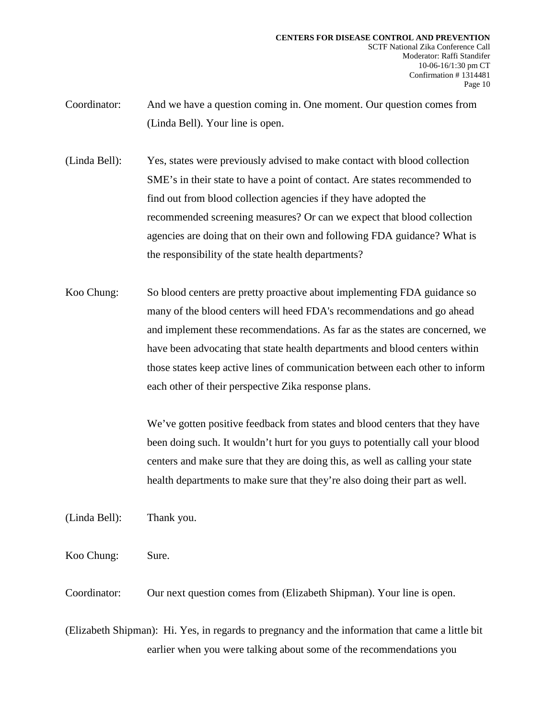- Coordinator: And we have a question coming in. One moment. Our question comes from (Linda Bell). Your line is open.
- (Linda Bell): Yes, states were previously advised to make contact with blood collection SME's in their state to have a point of contact. Are states recommended to find out from blood collection agencies if they have adopted the recommended screening measures? Or can we expect that blood collection agencies are doing that on their own and following FDA guidance? What is the responsibility of the state health departments?
- Koo Chung: So blood centers are pretty proactive about implementing FDA guidance so many of the blood centers will heed FDA's recommendations and go ahead and implement these recommendations. As far as the states are concerned, we have been advocating that state health departments and blood centers within those states keep active lines of communication between each other to inform each other of their perspective Zika response plans.

We've gotten positive feedback from states and blood centers that they have been doing such. It wouldn't hurt for you guys to potentially call your blood centers and make sure that they are doing this, as well as calling your state health departments to make sure that they're also doing their part as well.

(Linda Bell): Thank you.

Koo Chung: Sure.

Coordinator: Our next question comes from (Elizabeth Shipman). Your line is open.

(Elizabeth Shipman): Hi. Yes, in regards to pregnancy and the information that came a little bit earlier when you were talking about some of the recommendations you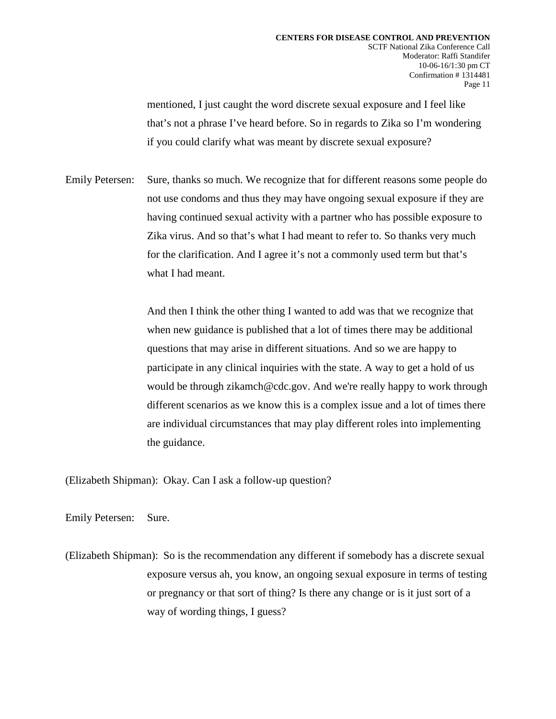mentioned, I just caught the word discrete sexual exposure and I feel like that's not a phrase I've heard before. So in regards to Zika so I'm wondering if you could clarify what was meant by discrete sexual exposure?

Emily Petersen: Sure, thanks so much. We recognize that for different reasons some people do not use condoms and thus they may have ongoing sexual exposure if they are having continued sexual activity with a partner who has possible exposure to Zika virus. And so that's what I had meant to refer to. So thanks very much for the clarification. And I agree it's not a commonly used term but that's what I had meant.

> And then I think the other thing I wanted to add was that we recognize that when new guidance is published that a lot of times there may be additional questions that may arise in different situations. And so we are happy to participate in any clinical inquiries with the state. A way to get a hold of us would be through zikamch@cdc.gov. And we're really happy to work through different scenarios as we know this is a complex issue and a lot of times there are individual circumstances that may play different roles into implementing the guidance.

(Elizabeth Shipman): Okay. Can I ask a follow-up question?

Emily Petersen: Sure.

(Elizabeth Shipman): So is the recommendation any different if somebody has a discrete sexual exposure versus ah, you know, an ongoing sexual exposure in terms of testing or pregnancy or that sort of thing? Is there any change or is it just sort of a way of wording things, I guess?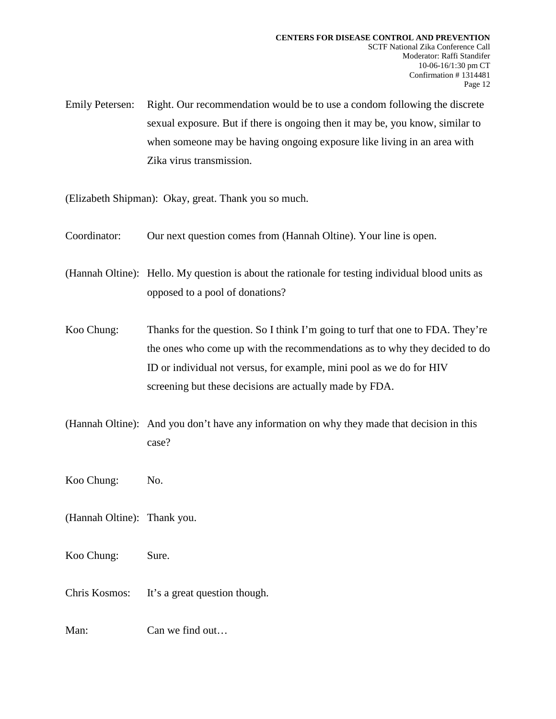Emily Petersen: Right. Our recommendation would be to use a condom following the discrete sexual exposure. But if there is ongoing then it may be, you know, similar to when someone may be having ongoing exposure like living in an area with Zika virus transmission.

(Elizabeth Shipman): Okay, great. Thank you so much.

Coordinator: Our next question comes from (Hannah Oltine). Your line is open.

(Hannah Oltine): Hello. My question is about the rationale for testing individual blood units as opposed to a pool of donations?

- Koo Chung: Thanks for the question. So I think I'm going to turf that one to FDA. They're the ones who come up with the recommendations as to why they decided to do ID or individual not versus, for example, mini pool as we do for HIV screening but these decisions are actually made by FDA.
- (Hannah Oltine): And you don't have any information on why they made that decision in this case?

Koo Chung: No.

(Hannah Oltine): Thank you.

Koo Chung: Sure.

Chris Kosmos: It's a great question though.

Man: Can we find out...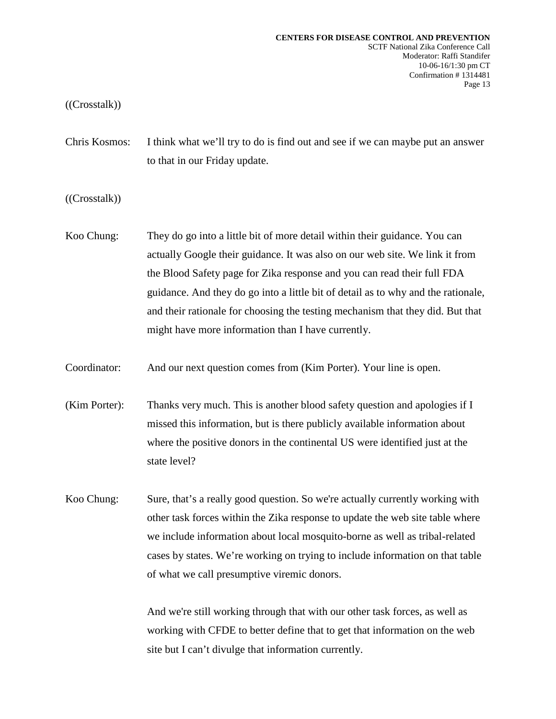## ((Crosstalk))

Chris Kosmos: I think what we'll try to do is find out and see if we can maybe put an answer to that in our Friday update.

((Crosstalk))

- Koo Chung: They do go into a little bit of more detail within their guidance. You can actually Google their guidance. It was also on our web site. We link it from the Blood Safety page for Zika response and you can read their full FDA guidance. And they do go into a little bit of detail as to why and the rationale, and their rationale for choosing the testing mechanism that they did. But that might have more information than I have currently.
- Coordinator: And our next question comes from (Kim Porter). Your line is open.
- (Kim Porter): Thanks very much. This is another blood safety question and apologies if I missed this information, but is there publicly available information about where the positive donors in the continental US were identified just at the state level?
- Koo Chung: Sure, that's a really good question. So we're actually currently working with other task forces within the Zika response to update the web site table where we include information about local mosquito-borne as well as tribal-related cases by states. We're working on trying to include information on that table of what we call presumptive viremic donors.

And we're still working through that with our other task forces, as well as working with CFDE to better define that to get that information on the web site but I can't divulge that information currently.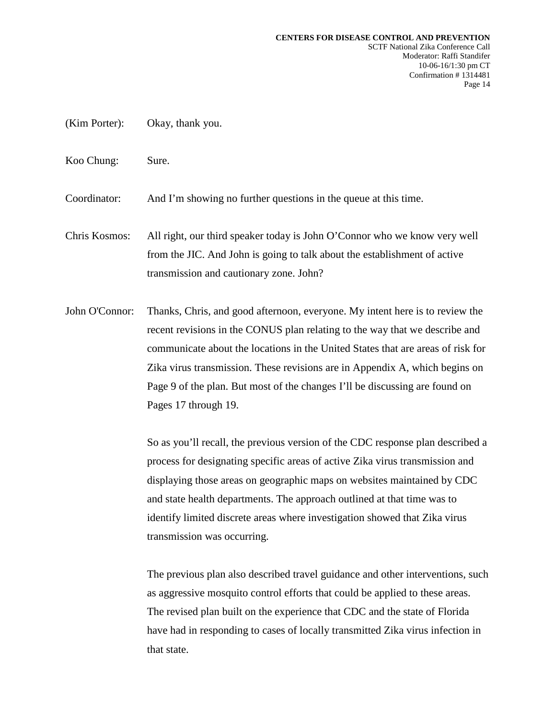- (Kim Porter): Okay, thank you.
- Koo Chung: Sure.

Coordinator: And I'm showing no further questions in the queue at this time.

Chris Kosmos: All right, our third speaker today is John O'Connor who we know very well from the JIC. And John is going to talk about the establishment of active transmission and cautionary zone. John?

John O'Connor: Thanks, Chris, and good afternoon, everyone. My intent here is to review the recent revisions in the CONUS plan relating to the way that we describe and communicate about the locations in the United States that are areas of risk for Zika virus transmission. These revisions are in Appendix A, which begins on Page 9 of the plan. But most of the changes I'll be discussing are found on Pages 17 through 19.

> So as you'll recall, the previous version of the CDC response plan described a process for designating specific areas of active Zika virus transmission and displaying those areas on geographic maps on websites maintained by CDC and state health departments. The approach outlined at that time was to identify limited discrete areas where investigation showed that Zika virus transmission was occurring.

> The previous plan also described travel guidance and other interventions, such as aggressive mosquito control efforts that could be applied to these areas. The revised plan built on the experience that CDC and the state of Florida have had in responding to cases of locally transmitted Zika virus infection in that state.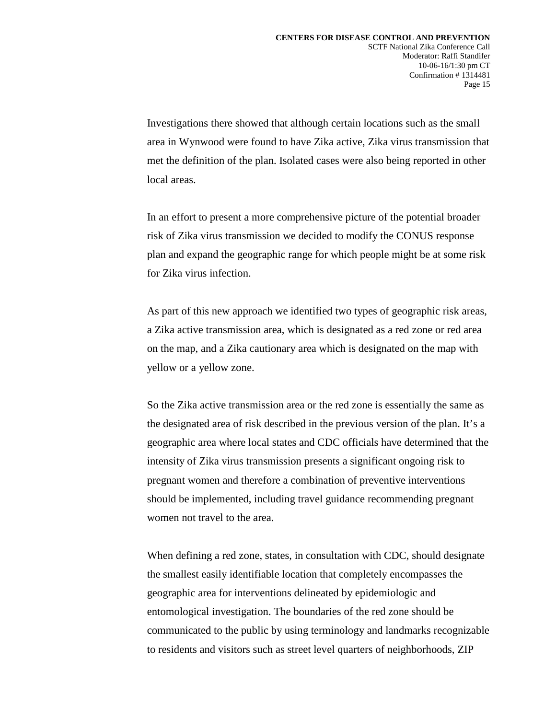Investigations there showed that although certain locations such as the small area in Wynwood were found to have Zika active, Zika virus transmission that met the definition of the plan. Isolated cases were also being reported in other local areas.

In an effort to present a more comprehensive picture of the potential broader risk of Zika virus transmission we decided to modify the CONUS response plan and expand the geographic range for which people might be at some risk for Zika virus infection.

As part of this new approach we identified two types of geographic risk areas, a Zika active transmission area, which is designated as a red zone or red area on the map, and a Zika cautionary area which is designated on the map with yellow or a yellow zone.

So the Zika active transmission area or the red zone is essentially the same as the designated area of risk described in the previous version of the plan. It's a geographic area where local states and CDC officials have determined that the intensity of Zika virus transmission presents a significant ongoing risk to pregnant women and therefore a combination of preventive interventions should be implemented, including travel guidance recommending pregnant women not travel to the area.

When defining a red zone, states, in consultation with CDC, should designate the smallest easily identifiable location that completely encompasses the geographic area for interventions delineated by epidemiologic and entomological investigation. The boundaries of the red zone should be communicated to the public by using terminology and landmarks recognizable to residents and visitors such as street level quarters of neighborhoods, ZIP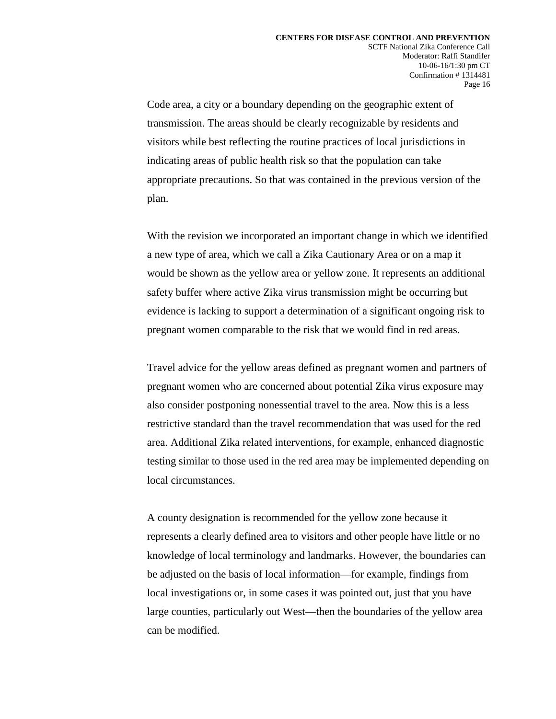Code area, a city or a boundary depending on the geographic extent of transmission. The areas should be clearly recognizable by residents and visitors while best reflecting the routine practices of local jurisdictions in indicating areas of public health risk so that the population can take appropriate precautions. So that was contained in the previous version of the plan.

With the revision we incorporated an important change in which we identified a new type of area, which we call a Zika Cautionary Area or on a map it would be shown as the yellow area or yellow zone. It represents an additional safety buffer where active Zika virus transmission might be occurring but evidence is lacking to support a determination of a significant ongoing risk to pregnant women comparable to the risk that we would find in red areas.

Travel advice for the yellow areas defined as pregnant women and partners of pregnant women who are concerned about potential Zika virus exposure may also consider postponing nonessential travel to the area. Now this is a less restrictive standard than the travel recommendation that was used for the red area. Additional Zika related interventions, for example, enhanced diagnostic testing similar to those used in the red area may be implemented depending on local circumstances.

A county designation is recommended for the yellow zone because it represents a clearly defined area to visitors and other people have little or no knowledge of local terminology and landmarks. However, the boundaries can be adjusted on the basis of local information—for example, findings from local investigations or, in some cases it was pointed out, just that you have large counties, particularly out West—then the boundaries of the yellow area can be modified.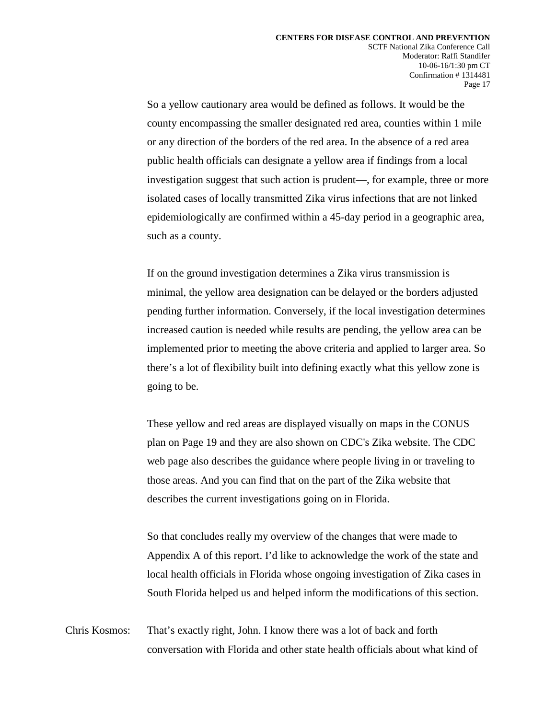So a yellow cautionary area would be defined as follows. It would be the county encompassing the smaller designated red area, counties within 1 mile or any direction of the borders of the red area. In the absence of a red area public health officials can designate a yellow area if findings from a local investigation suggest that such action is prudent—, for example, three or more isolated cases of locally transmitted Zika virus infections that are not linked epidemiologically are confirmed within a 45-day period in a geographic area, such as a county.

If on the ground investigation determines a Zika virus transmission is minimal, the yellow area designation can be delayed or the borders adjusted pending further information. Conversely, if the local investigation determines increased caution is needed while results are pending, the yellow area can be implemented prior to meeting the above criteria and applied to larger area. So there's a lot of flexibility built into defining exactly what this yellow zone is going to be.

These yellow and red areas are displayed visually on maps in the CONUS plan on Page 19 and they are also shown on CDC's Zika website. The CDC web page also describes the guidance where people living in or traveling to those areas. And you can find that on the part of the Zika website that describes the current investigations going on in Florida.

So that concludes really my overview of the changes that were made to Appendix A of this report. I'd like to acknowledge the work of the state and local health officials in Florida whose ongoing investigation of Zika cases in South Florida helped us and helped inform the modifications of this section.

Chris Kosmos: That's exactly right, John. I know there was a lot of back and forth conversation with Florida and other state health officials about what kind of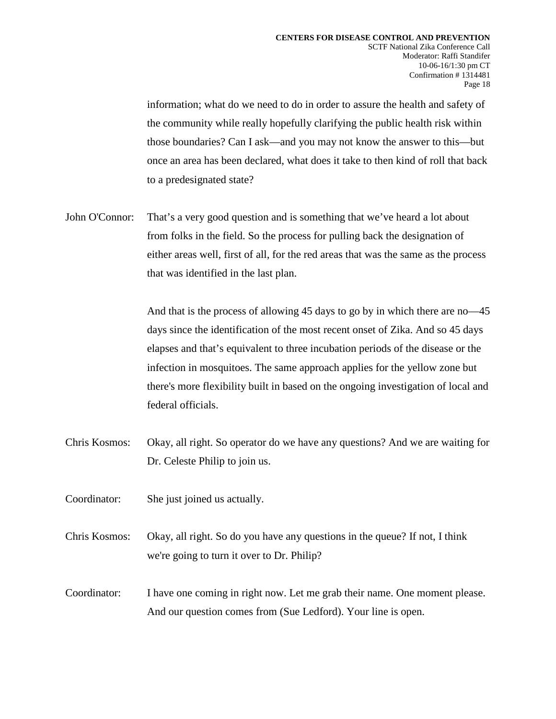information; what do we need to do in order to assure the health and safety of the community while really hopefully clarifying the public health risk within those boundaries? Can I ask—and you may not know the answer to this—but once an area has been declared, what does it take to then kind of roll that back to a predesignated state?

John O'Connor: That's a very good question and is something that we've heard a lot about from folks in the field. So the process for pulling back the designation of either areas well, first of all, for the red areas that was the same as the process that was identified in the last plan.

> And that is the process of allowing 45 days to go by in which there are no—45 days since the identification of the most recent onset of Zika. And so 45 days elapses and that's equivalent to three incubation periods of the disease or the infection in mosquitoes. The same approach applies for the yellow zone but there's more flexibility built in based on the ongoing investigation of local and federal officials.

- Chris Kosmos: Okay, all right. So operator do we have any questions? And we are waiting for Dr. Celeste Philip to join us.
- Coordinator: She just joined us actually.
- Chris Kosmos: Okay, all right. So do you have any questions in the queue? If not, I think we're going to turn it over to Dr. Philip?
- Coordinator: I have one coming in right now. Let me grab their name. One moment please. And our question comes from (Sue Ledford). Your line is open.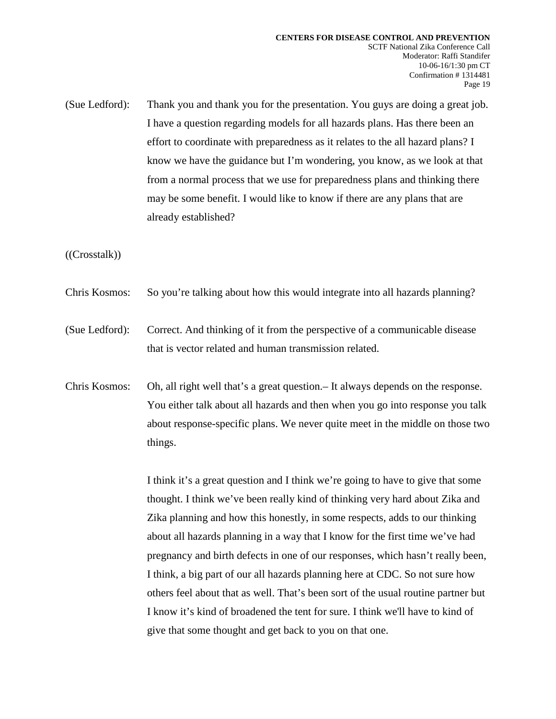(Sue Ledford): Thank you and thank you for the presentation. You guys are doing a great job. I have a question regarding models for all hazards plans. Has there been an effort to coordinate with preparedness as it relates to the all hazard plans? I know we have the guidance but I'm wondering, you know, as we look at that from a normal process that we use for preparedness plans and thinking there may be some benefit. I would like to know if there are any plans that are already established?

((Crosstalk))

- Chris Kosmos: So you're talking about how this would integrate into all hazards planning?
- (Sue Ledford): Correct. And thinking of it from the perspective of a communicable disease that is vector related and human transmission related.
- Chris Kosmos: Oh, all right well that's a great question.– It always depends on the response. You either talk about all hazards and then when you go into response you talk about response-specific plans. We never quite meet in the middle on those two things.

I think it's a great question and I think we're going to have to give that some thought. I think we've been really kind of thinking very hard about Zika and Zika planning and how this honestly, in some respects, adds to our thinking about all hazards planning in a way that I know for the first time we've had pregnancy and birth defects in one of our responses, which hasn't really been, I think, a big part of our all hazards planning here at CDC. So not sure how others feel about that as well. That's been sort of the usual routine partner but I know it's kind of broadened the tent for sure. I think we'll have to kind of give that some thought and get back to you on that one.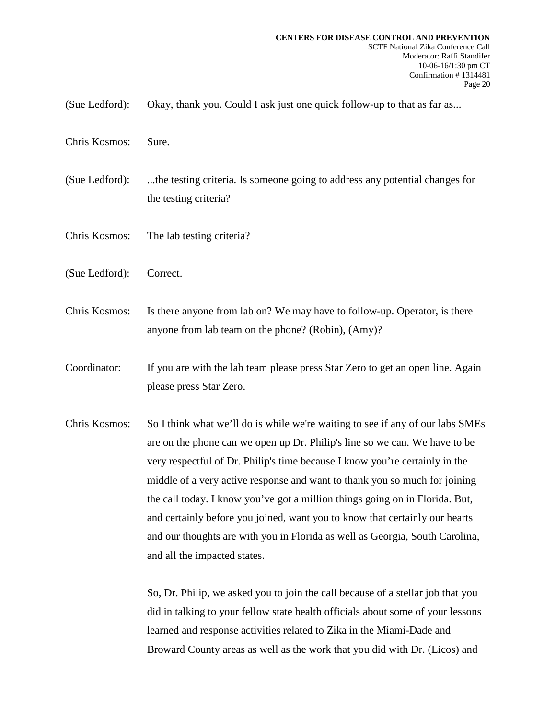- (Sue Ledford): Okay, thank you. Could I ask just one quick follow-up to that as far as...
- Chris Kosmos: Sure.
- (Sue Ledford): ...the testing criteria. Is someone going to address any potential changes for the testing criteria?
- Chris Kosmos: The lab testing criteria?
- (Sue Ledford): Correct.
- Chris Kosmos: Is there anyone from lab on? We may have to follow-up. Operator, is there anyone from lab team on the phone? (Robin), (Amy)?
- Coordinator: If you are with the lab team please press Star Zero to get an open line. Again please press Star Zero.
- Chris Kosmos: So I think what we'll do is while we're waiting to see if any of our labs SMEs are on the phone can we open up Dr. Philip's line so we can. We have to be very respectful of Dr. Philip's time because I know you're certainly in the middle of a very active response and want to thank you so much for joining the call today. I know you've got a million things going on in Florida. But, and certainly before you joined, want you to know that certainly our hearts and our thoughts are with you in Florida as well as Georgia, South Carolina, and all the impacted states.

So, Dr. Philip, we asked you to join the call because of a stellar job that you did in talking to your fellow state health officials about some of your lessons learned and response activities related to Zika in the Miami-Dade and Broward County areas as well as the work that you did with Dr. (Licos) and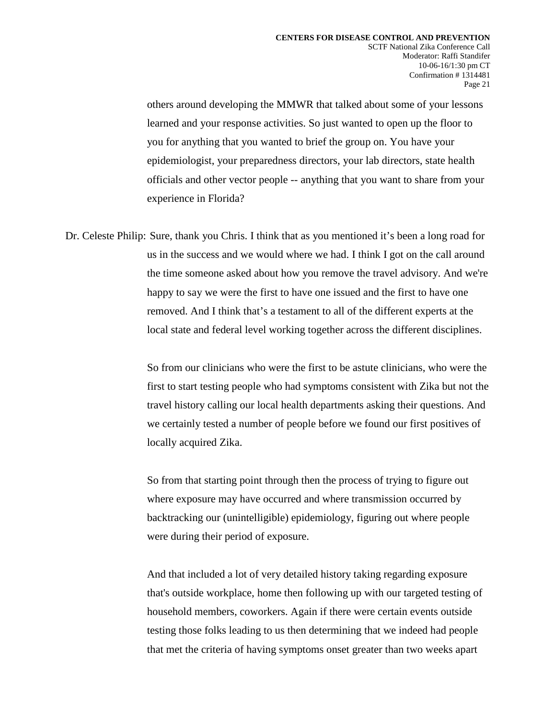others around developing the MMWR that talked about some of your lessons learned and your response activities. So just wanted to open up the floor to you for anything that you wanted to brief the group on. You have your epidemiologist, your preparedness directors, your lab directors, state health officials and other vector people -- anything that you want to share from your experience in Florida?

Dr. Celeste Philip: Sure, thank you Chris. I think that as you mentioned it's been a long road for us in the success and we would where we had. I think I got on the call around the time someone asked about how you remove the travel advisory. And we're happy to say we were the first to have one issued and the first to have one removed. And I think that's a testament to all of the different experts at the local state and federal level working together across the different disciplines.

> So from our clinicians who were the first to be astute clinicians, who were the first to start testing people who had symptoms consistent with Zika but not the travel history calling our local health departments asking their questions. And we certainly tested a number of people before we found our first positives of locally acquired Zika.

So from that starting point through then the process of trying to figure out where exposure may have occurred and where transmission occurred by backtracking our (unintelligible) epidemiology, figuring out where people were during their period of exposure.

And that included a lot of very detailed history taking regarding exposure that's outside workplace, home then following up with our targeted testing of household members, coworkers. Again if there were certain events outside testing those folks leading to us then determining that we indeed had people that met the criteria of having symptoms onset greater than two weeks apart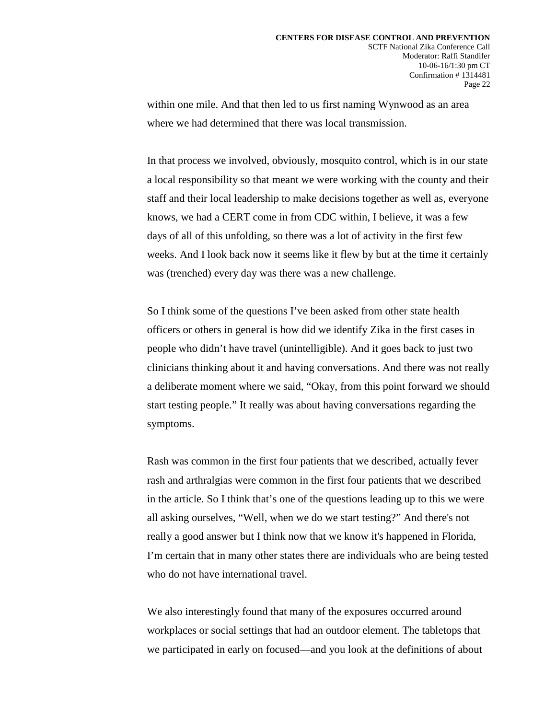within one mile. And that then led to us first naming Wynwood as an area where we had determined that there was local transmission.

In that process we involved, obviously, mosquito control, which is in our state a local responsibility so that meant we were working with the county and their staff and their local leadership to make decisions together as well as, everyone knows, we had a CERT come in from CDC within, I believe, it was a few days of all of this unfolding, so there was a lot of activity in the first few weeks. And I look back now it seems like it flew by but at the time it certainly was (trenched) every day was there was a new challenge.

So I think some of the questions I've been asked from other state health officers or others in general is how did we identify Zika in the first cases in people who didn't have travel (unintelligible). And it goes back to just two clinicians thinking about it and having conversations. And there was not really a deliberate moment where we said, "Okay, from this point forward we should start testing people." It really was about having conversations regarding the symptoms.

Rash was common in the first four patients that we described, actually fever rash and arthralgias were common in the first four patients that we described in the article. So I think that's one of the questions leading up to this we were all asking ourselves, "Well, when we do we start testing?" And there's not really a good answer but I think now that we know it's happened in Florida, I'm certain that in many other states there are individuals who are being tested who do not have international travel.

We also interestingly found that many of the exposures occurred around workplaces or social settings that had an outdoor element. The tabletops that we participated in early on focused—and you look at the definitions of about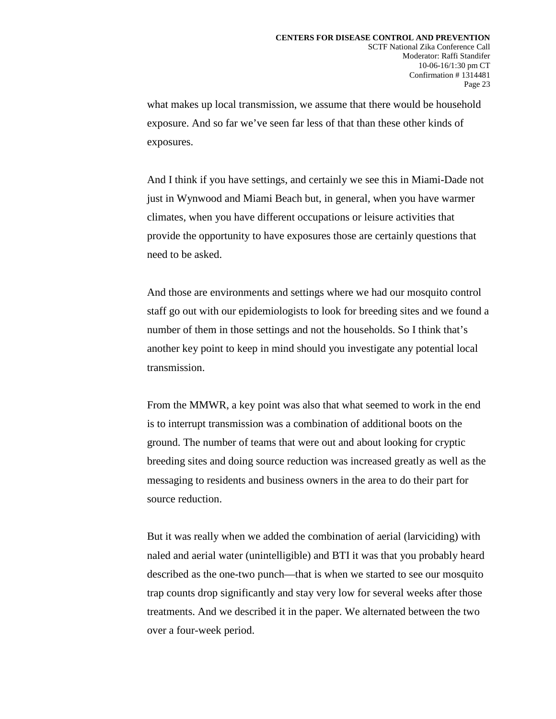what makes up local transmission, we assume that there would be household exposure. And so far we've seen far less of that than these other kinds of exposures.

And I think if you have settings, and certainly we see this in Miami-Dade not just in Wynwood and Miami Beach but, in general, when you have warmer climates, when you have different occupations or leisure activities that provide the opportunity to have exposures those are certainly questions that need to be asked.

And those are environments and settings where we had our mosquito control staff go out with our epidemiologists to look for breeding sites and we found a number of them in those settings and not the households. So I think that's another key point to keep in mind should you investigate any potential local transmission.

From the MMWR, a key point was also that what seemed to work in the end is to interrupt transmission was a combination of additional boots on the ground. The number of teams that were out and about looking for cryptic breeding sites and doing source reduction was increased greatly as well as the messaging to residents and business owners in the area to do their part for source reduction.

But it was really when we added the combination of aerial (larviciding) with naled and aerial water (unintelligible) and BTI it was that you probably heard described as the one-two punch—that is when we started to see our mosquito trap counts drop significantly and stay very low for several weeks after those treatments. And we described it in the paper. We alternated between the two over a four-week period.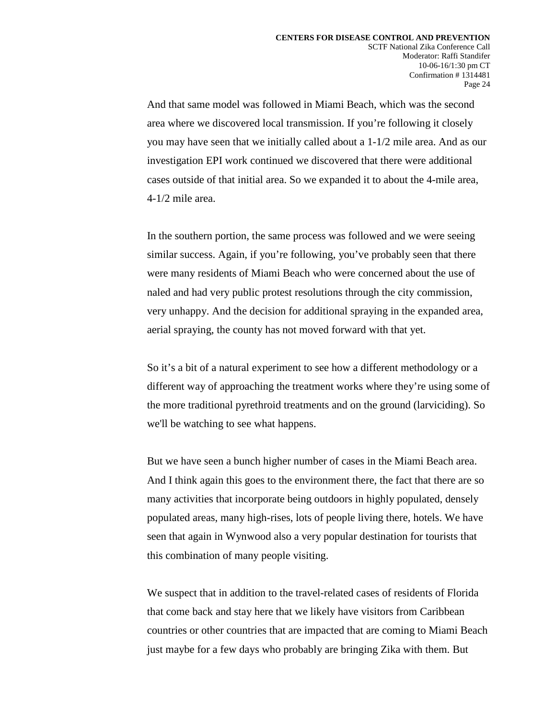And that same model was followed in Miami Beach, which was the second area where we discovered local transmission. If you're following it closely you may have seen that we initially called about a 1-1/2 mile area. And as our investigation EPI work continued we discovered that there were additional cases outside of that initial area. So we expanded it to about the 4-mile area, 4-1/2 mile area.

In the southern portion, the same process was followed and we were seeing similar success. Again, if you're following, you've probably seen that there were many residents of Miami Beach who were concerned about the use of naled and had very public protest resolutions through the city commission, very unhappy. And the decision for additional spraying in the expanded area, aerial spraying, the county has not moved forward with that yet.

So it's a bit of a natural experiment to see how a different methodology or a different way of approaching the treatment works where they're using some of the more traditional pyrethroid treatments and on the ground (larviciding). So we'll be watching to see what happens.

But we have seen a bunch higher number of cases in the Miami Beach area. And I think again this goes to the environment there, the fact that there are so many activities that incorporate being outdoors in highly populated, densely populated areas, many high-rises, lots of people living there, hotels. We have seen that again in Wynwood also a very popular destination for tourists that this combination of many people visiting.

We suspect that in addition to the travel-related cases of residents of Florida that come back and stay here that we likely have visitors from Caribbean countries or other countries that are impacted that are coming to Miami Beach just maybe for a few days who probably are bringing Zika with them. But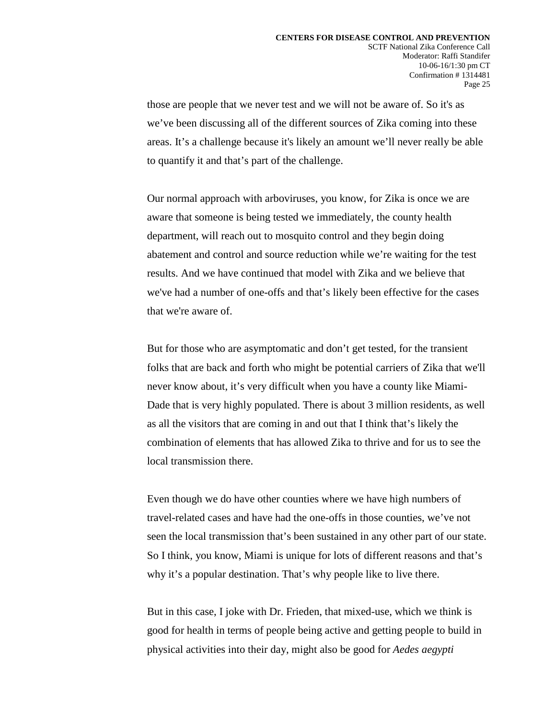those are people that we never test and we will not be aware of. So it's as we've been discussing all of the different sources of Zika coming into these areas. It's a challenge because it's likely an amount we'll never really be able to quantify it and that's part of the challenge.

Our normal approach with arboviruses, you know, for Zika is once we are aware that someone is being tested we immediately, the county health department, will reach out to mosquito control and they begin doing abatement and control and source reduction while we're waiting for the test results. And we have continued that model with Zika and we believe that we've had a number of one-offs and that's likely been effective for the cases that we're aware of.

But for those who are asymptomatic and don't get tested, for the transient folks that are back and forth who might be potential carriers of Zika that we'll never know about, it's very difficult when you have a county like Miami-Dade that is very highly populated. There is about 3 million residents, as well as all the visitors that are coming in and out that I think that's likely the combination of elements that has allowed Zika to thrive and for us to see the local transmission there.

Even though we do have other counties where we have high numbers of travel-related cases and have had the one-offs in those counties, we've not seen the local transmission that's been sustained in any other part of our state. So I think, you know, Miami is unique for lots of different reasons and that's why it's a popular destination. That's why people like to live there.

But in this case, I joke with Dr. Frieden, that mixed-use, which we think is good for health in terms of people being active and getting people to build in physical activities into their day, might also be good for *Aedes aegypti*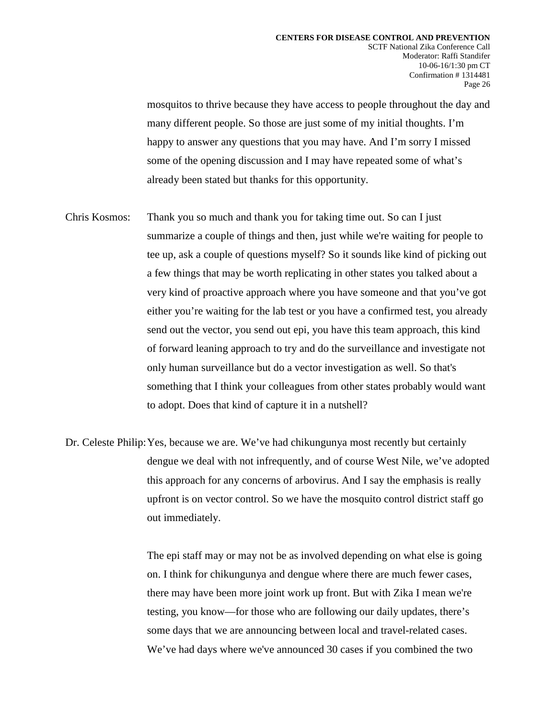mosquitos to thrive because they have access to people throughout the day and many different people. So those are just some of my initial thoughts. I'm happy to answer any questions that you may have. And I'm sorry I missed some of the opening discussion and I may have repeated some of what's already been stated but thanks for this opportunity.

- Chris Kosmos: Thank you so much and thank you for taking time out. So can I just summarize a couple of things and then, just while we're waiting for people to tee up, ask a couple of questions myself? So it sounds like kind of picking out a few things that may be worth replicating in other states you talked about a very kind of proactive approach where you have someone and that you've got either you're waiting for the lab test or you have a confirmed test, you already send out the vector, you send out epi, you have this team approach, this kind of forward leaning approach to try and do the surveillance and investigate not only human surveillance but do a vector investigation as well. So that's something that I think your colleagues from other states probably would want to adopt. Does that kind of capture it in a nutshell?
- Dr. Celeste Philip:Yes, because we are. We've had chikungunya most recently but certainly dengue we deal with not infrequently, and of course West Nile, we've adopted this approach for any concerns of arbovirus. And I say the emphasis is really upfront is on vector control. So we have the mosquito control district staff go out immediately.

The epi staff may or may not be as involved depending on what else is going on. I think for chikungunya and dengue where there are much fewer cases, there may have been more joint work up front. But with Zika I mean we're testing, you know—for those who are following our daily updates, there's some days that we are announcing between local and travel-related cases. We've had days where we've announced 30 cases if you combined the two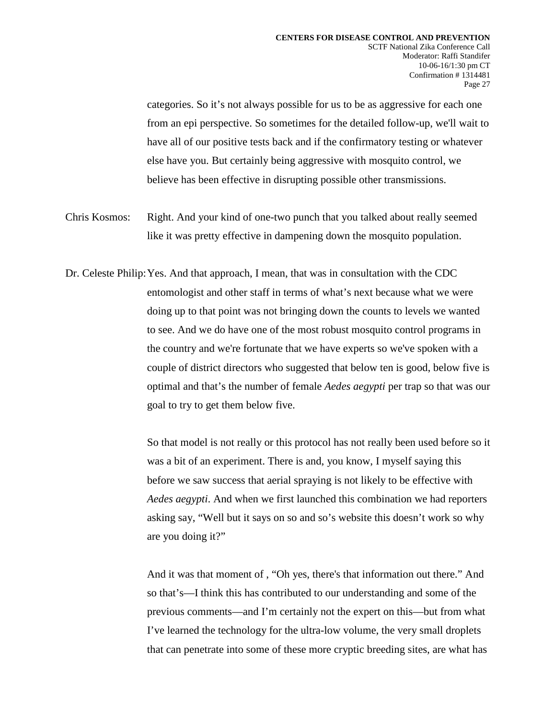categories. So it's not always possible for us to be as aggressive for each one from an epi perspective. So sometimes for the detailed follow-up, we'll wait to have all of our positive tests back and if the confirmatory testing or whatever else have you. But certainly being aggressive with mosquito control, we believe has been effective in disrupting possible other transmissions.

- Chris Kosmos: Right. And your kind of one-two punch that you talked about really seemed like it was pretty effective in dampening down the mosquito population.
- Dr. Celeste Philip:Yes. And that approach, I mean, that was in consultation with the CDC entomologist and other staff in terms of what's next because what we were doing up to that point was not bringing down the counts to levels we wanted to see. And we do have one of the most robust mosquito control programs in the country and we're fortunate that we have experts so we've spoken with a couple of district directors who suggested that below ten is good, below five is optimal and that's the number of female *Aedes aegypti* per trap so that was our goal to try to get them below five.

So that model is not really or this protocol has not really been used before so it was a bit of an experiment. There is and, you know, I myself saying this before we saw success that aerial spraying is not likely to be effective with *Aedes aegypti*. And when we first launched this combination we had reporters asking say, "Well but it says on so and so's website this doesn't work so why are you doing it?"

And it was that moment of , "Oh yes, there's that information out there." And so that's—I think this has contributed to our understanding and some of the previous comments—and I'm certainly not the expert on this—but from what I've learned the technology for the ultra-low volume, the very small droplets that can penetrate into some of these more cryptic breeding sites, are what has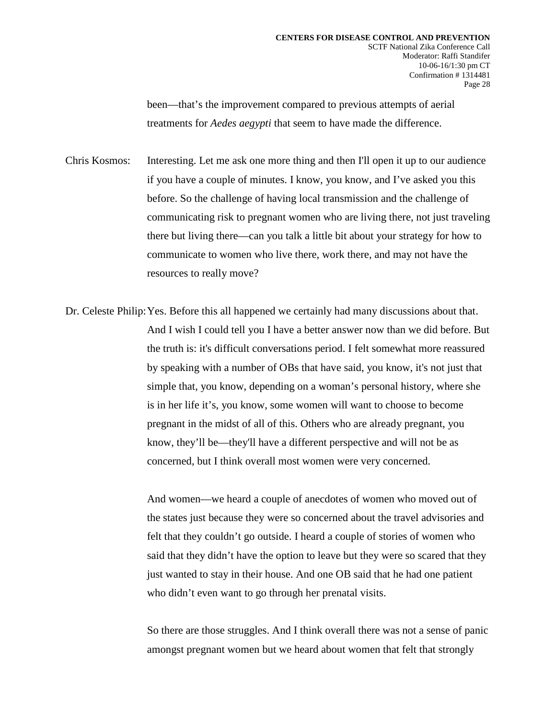been—that's the improvement compared to previous attempts of aerial treatments for *Aedes aegypti* that seem to have made the difference.

Chris Kosmos: Interesting. Let me ask one more thing and then I'll open it up to our audience if you have a couple of minutes. I know, you know, and I've asked you this before. So the challenge of having local transmission and the challenge of communicating risk to pregnant women who are living there, not just traveling there but living there—can you talk a little bit about your strategy for how to communicate to women who live there, work there, and may not have the resources to really move?

Dr. Celeste Philip:Yes. Before this all happened we certainly had many discussions about that. And I wish I could tell you I have a better answer now than we did before. But the truth is: it's difficult conversations period. I felt somewhat more reassured by speaking with a number of OBs that have said, you know, it's not just that simple that, you know, depending on a woman's personal history, where she is in her life it's, you know, some women will want to choose to become pregnant in the midst of all of this. Others who are already pregnant, you know, they'll be—they'll have a different perspective and will not be as concerned, but I think overall most women were very concerned.

> And women—we heard a couple of anecdotes of women who moved out of the states just because they were so concerned about the travel advisories and felt that they couldn't go outside. I heard a couple of stories of women who said that they didn't have the option to leave but they were so scared that they just wanted to stay in their house. And one OB said that he had one patient who didn't even want to go through her prenatal visits.

> So there are those struggles. And I think overall there was not a sense of panic amongst pregnant women but we heard about women that felt that strongly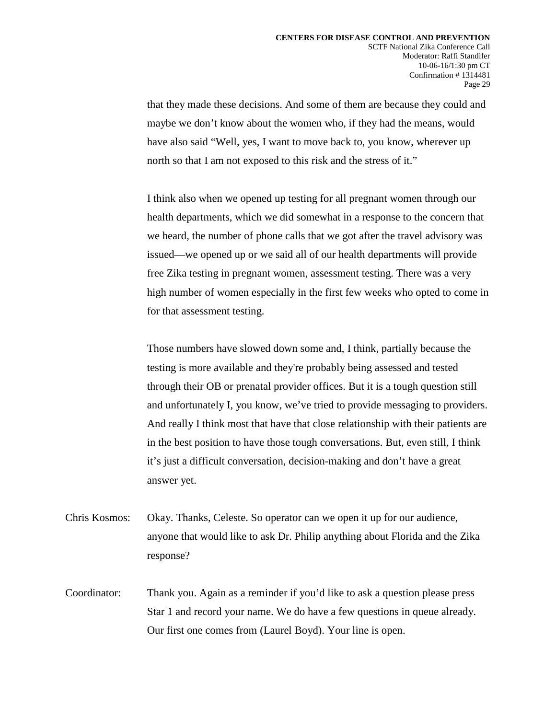that they made these decisions. And some of them are because they could and maybe we don't know about the women who, if they had the means, would have also said "Well, yes, I want to move back to, you know, wherever up north so that I am not exposed to this risk and the stress of it."

I think also when we opened up testing for all pregnant women through our health departments, which we did somewhat in a response to the concern that we heard, the number of phone calls that we got after the travel advisory was issued—we opened up or we said all of our health departments will provide free Zika testing in pregnant women, assessment testing. There was a very high number of women especially in the first few weeks who opted to come in for that assessment testing.

Those numbers have slowed down some and, I think, partially because the testing is more available and they're probably being assessed and tested through their OB or prenatal provider offices. But it is a tough question still and unfortunately I, you know, we've tried to provide messaging to providers. And really I think most that have that close relationship with their patients are in the best position to have those tough conversations. But, even still, I think it's just a difficult conversation, decision-making and don't have a great answer yet.

- Chris Kosmos: Okay. Thanks, Celeste. So operator can we open it up for our audience, anyone that would like to ask Dr. Philip anything about Florida and the Zika response?
- Coordinator: Thank you. Again as a reminder if you'd like to ask a question please press Star 1 and record your name. We do have a few questions in queue already. Our first one comes from (Laurel Boyd). Your line is open.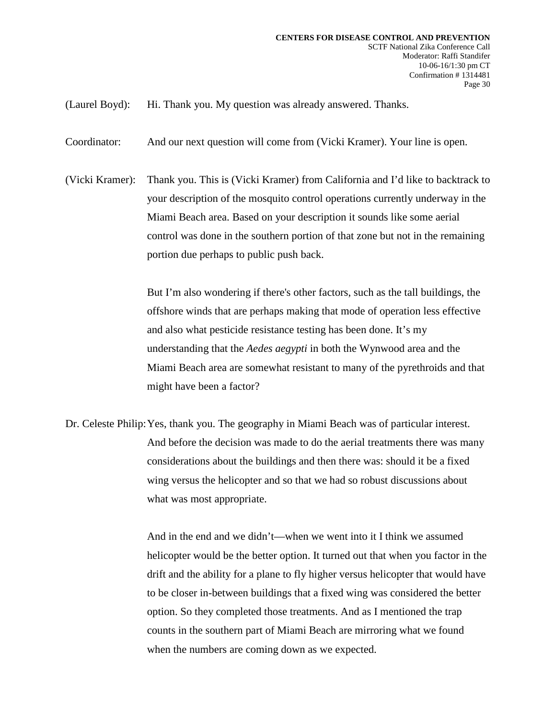(Laurel Boyd): Hi. Thank you. My question was already answered. Thanks.

Coordinator: And our next question will come from (Vicki Kramer). Your line is open.

(Vicki Kramer): Thank you. This is (Vicki Kramer) from California and I'd like to backtrack to your description of the mosquito control operations currently underway in the Miami Beach area. Based on your description it sounds like some aerial control was done in the southern portion of that zone but not in the remaining portion due perhaps to public push back.

> But I'm also wondering if there's other factors, such as the tall buildings, the offshore winds that are perhaps making that mode of operation less effective and also what pesticide resistance testing has been done. It's my understanding that the *Aedes aegypti* in both the Wynwood area and the Miami Beach area are somewhat resistant to many of the pyrethroids and that might have been a factor?

Dr. Celeste Philip:Yes, thank you. The geography in Miami Beach was of particular interest. And before the decision was made to do the aerial treatments there was many considerations about the buildings and then there was: should it be a fixed wing versus the helicopter and so that we had so robust discussions about what was most appropriate.

> And in the end and we didn't—when we went into it I think we assumed helicopter would be the better option. It turned out that when you factor in the drift and the ability for a plane to fly higher versus helicopter that would have to be closer in-between buildings that a fixed wing was considered the better option. So they completed those treatments. And as I mentioned the trap counts in the southern part of Miami Beach are mirroring what we found when the numbers are coming down as we expected.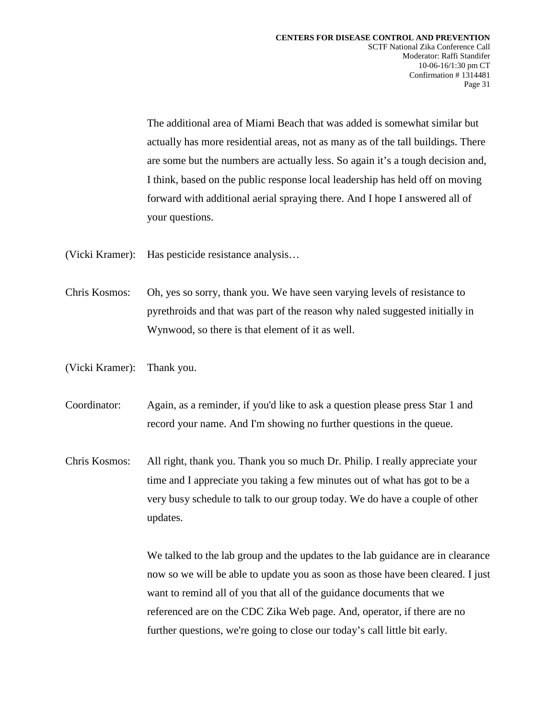The additional area of Miami Beach that was added is somewhat similar but actually has more residential areas, not as many as of the tall buildings. There are some but the numbers are actually less. So again it's a tough decision and, I think, based on the public response local leadership has held off on moving forward with additional aerial spraying there. And I hope I answered all of your questions.

- (Vicki Kramer): Has pesticide resistance analysis…
- Chris Kosmos: Oh, yes so sorry, thank you. We have seen varying levels of resistance to pyrethroids and that was part of the reason why naled suggested initially in Wynwood, so there is that element of it as well.
- (Vicki Kramer): Thank you.
- Coordinator: Again, as a reminder, if you'd like to ask a question please press Star 1 and record your name. And I'm showing no further questions in the queue.
- Chris Kosmos: All right, thank you. Thank you so much Dr. Philip. I really appreciate your time and I appreciate you taking a few minutes out of what has got to be a very busy schedule to talk to our group today. We do have a couple of other updates.

We talked to the lab group and the updates to the lab guidance are in clearance now so we will be able to update you as soon as those have been cleared. I just want to remind all of you that all of the guidance documents that we referenced are on the CDC Zika Web page. And, operator, if there are no further questions, we're going to close our today's call little bit early.